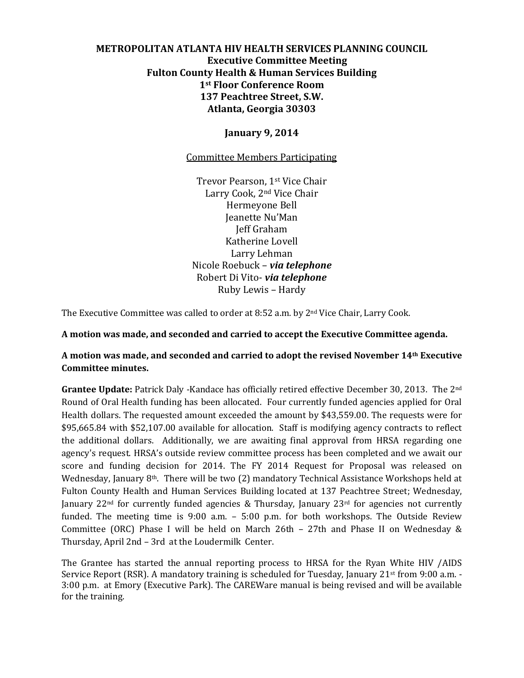# **METROPOLITAN ATLANTA HIV HEALTH SERVICES PLANNING COUNCIL Executive Committee Meeting Fulton County Health & Human Services Building 1st Floor Conference Room 137 Peachtree Street, S.W. Atlanta, Georgia 30303**

## **January 9, 2014**

## Committee Members Participating

Trevor Pearson, 1st Vice Chair Larry Cook, 2nd Vice Chair Hermeyone Bell Jeanette Nu'Man Jeff Graham Katherine Lovell Larry Lehman Nicole Roebuck – *via telephone* Robert Di Vito- *via telephone* Ruby Lewis – Hardy

The Executive Committee was called to order at 8:52 a.m. by 2nd Vice Chair, Larry Cook.

**A motion was made, and seconded and carried to accept the Executive Committee agenda.**

# **A motion was made, and seconded and carried to adopt the revised November 14th Executive Committee minutes.**

**Grantee Update:** Patrick Daly -Kandace has officially retired effective December 30, 2013. The 2nd Round of Oral Health funding has been allocated. Four currently funded agencies applied for Oral Health dollars. The requested amount exceeded the amount by \$43,559.00. The requests were for \$95,665.84 with \$52,107.00 available for allocation. Staff is modifying agency contracts to reflect the additional dollars. Additionally, we are awaiting final approval from HRSA regarding one agency's request. HRSA's outside review committee process has been completed and we await our score and funding decision for 2014. The FY 2014 Request for Proposal was released on Wednesday, January 8th. There will be two (2) mandatory Technical Assistance Workshops held at Fulton County Health and Human Services Building located at 137 Peachtree Street; Wednesday, January 22<sup>nd</sup> for currently funded agencies & Thursday, January 23<sup>rd</sup> for agencies not currently funded. The meeting time is 9:00 a.m. – 5:00 p.m. for both workshops. The Outside Review Committee (ORC) Phase I will be held on March 26th – 27th and Phase II on Wednesday & Thursday, April 2nd – 3rd at the Loudermilk Center.

The Grantee has started the annual reporting process to HRSA for the Ryan White HIV /AIDS Service Report (RSR). A mandatory training is scheduled for Tuesday, January 21<sup>st</sup> from 9:00 a.m. -3:00 p.m. at Emory (Executive Park). The CAREWare manual is being revised and will be available for the training.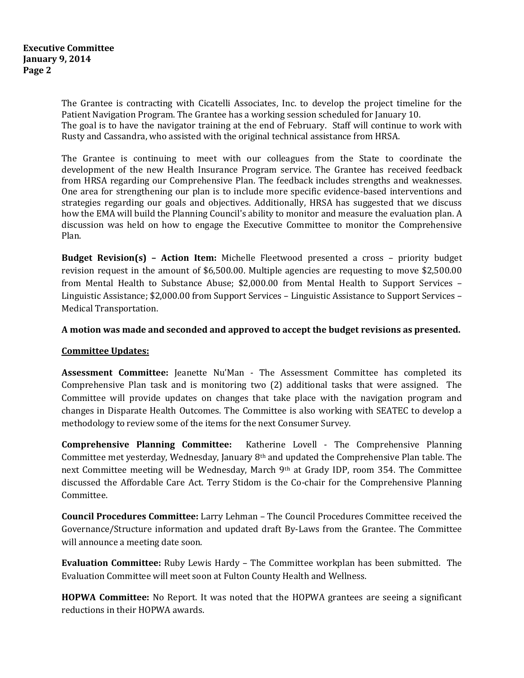The Grantee is contracting with Cicatelli Associates, Inc. to develop the project timeline for the Patient Navigation Program. The Grantee has a working session scheduled for January 10. The goal is to have the navigator training at the end of February. Staff will continue to work with Rusty and Cassandra, who assisted with the original technical assistance from HRSA.

The Grantee is continuing to meet with our colleagues from the State to coordinate the development of the new Health Insurance Program service. The Grantee has received feedback from HRSA regarding our Comprehensive Plan. The feedback includes strengths and weaknesses. One area for strengthening our plan is to include more specific evidence-based interventions and strategies regarding our goals and objectives. Additionally, HRSA has suggested that we discuss how the EMA will build the Planning Council's ability to monitor and measure the evaluation plan. A discussion was held on how to engage the Executive Committee to monitor the Comprehensive Plan.

**Budget Revision(s) – Action Item:** Michelle Fleetwood presented a cross – priority budget revision request in the amount of \$6,500.00. Multiple agencies are requesting to move \$2,500.00 from Mental Health to Substance Abuse; \$2,000.00 from Mental Health to Support Services – Linguistic Assistance; \$2,000.00 from Support Services – Linguistic Assistance to Support Services – Medical Transportation.

#### **A motion was made and seconded and approved to accept the budget revisions as presented.**

### **Committee Updates:**

**Assessment Committee:** Jeanette Nu'Man - The Assessment Committee has completed its Comprehensive Plan task and is monitoring two (2) additional tasks that were assigned. The Committee will provide updates on changes that take place with the navigation program and changes in Disparate Health Outcomes. The Committee is also working with SEATEC to develop a methodology to review some of the items for the next Consumer Survey.

**Comprehensive Planning Committee:** Katherine Lovell - The Comprehensive Planning Committee met yesterday, Wednesday, January 8th and updated the Comprehensive Plan table. The next Committee meeting will be Wednesday, March 9th at Grady IDP, room 354. The Committee discussed the Affordable Care Act. Terry Stidom is the Co-chair for the Comprehensive Planning Committee.

**Council Procedures Committee:** Larry Lehman – The Council Procedures Committee received the Governance/Structure information and updated draft By-Laws from the Grantee. The Committee will announce a meeting date soon.

**Evaluation Committee:** Ruby Lewis Hardy – The Committee workplan has been submitted. The Evaluation Committee will meet soon at Fulton County Health and Wellness.

**HOPWA Committee:** No Report. It was noted that the HOPWA grantees are seeing a significant reductions in their HOPWA awards.